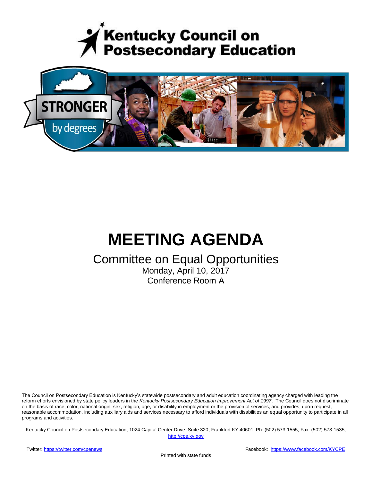



# **MEETING AGENDA**

## Committee on Equal Opportunities

Monday, April 10, 2017 Conference Room A

The Council on Postsecondary Education is Kentucky's statewide postsecondary and adult education coordinating agency charged with leading the reform efforts envisioned by state policy leaders in the *Kentucky Postsecondary Education Improvement Act of 1997*. The Council does not discriminate on the basis of race, color, national origin, sex, religion, age, or disability in employment or the provision of services, and provides, upon request, reasonable accommodation, including auxiliary aids and services necessary to afford individuals with disabilities an equal opportunity to participate in all programs and activities.

Kentucky Council on Postsecondary Education, 1024 Capital Center Drive, Suite 320, Frankfort KY 40601, Ph: (502) 573-1555, Fax: (502) 573-1535,

[http://cpe.ky.gov](http://cpe.ky.gov/)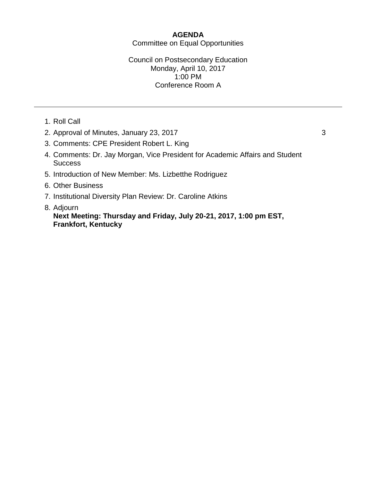### **AGENDA** Committee on Equal Opportunities

#### Council on Postsecondary Education Monday, April 10, 2017 1:00 PM Conference Room A

- 1. Roll Call
- 2. Approval of Minutes, January 23, 2017 33
- 3. Comments: CPE President Robert L. King
- 4. Comments: Dr. Jay Morgan, Vice President for Academic Affairs and Student **Success**
- 5. Introduction of New Member: Ms. Lizbetthe Rodriguez
- 6. Other Business
- 7. Institutional Diversity Plan Review: Dr. Caroline Atkins
- 8. Adjourn

**Next Meeting: Thursday and Friday, July 20-21, 2017, 1:00 pm EST, Frankfort, Kentucky**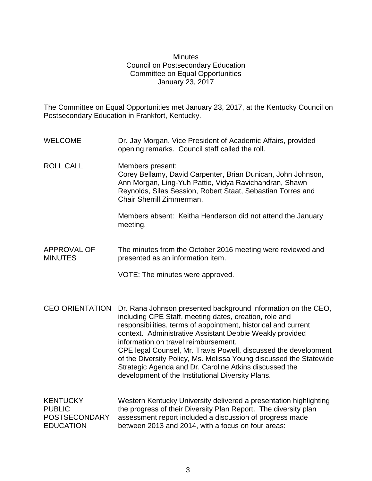#### **Minutes** Council on Postsecondary Education Committee on Equal Opportunities January 23, 2017

The Committee on Equal Opportunities met January 23, 2017, at the Kentucky Council on Postsecondary Education in Frankfort, Kentucky.

- WELCOME Dr. Jay Morgan, Vice President of Academic Affairs, provided opening remarks. Council staff called the roll.
- ROLL CALL Members present: Corey Bellamy, David Carpenter, Brian Dunican, John Johnson, Ann Morgan, Ling-Yuh Pattie, Vidya Ravichandran, Shawn Reynolds, Silas Session, Robert Staat, Sebastian Torres and Chair Sherrill Zimmerman.

Members absent: Keitha Henderson did not attend the January meeting.

#### APPROVAL OF MINUTES The minutes from the October 2016 meeting were reviewed and presented as an information item.

VOTE: The minutes were approved.

CEO ORIENTATION Dr. Rana Johnson presented background information on the CEO, including CPE Staff, meeting dates, creation, role and responsibilities, terms of appointment, historical and current context. Administrative Assistant Debbie Weakly provided information on travel reimbursement. CPE legal Counsel, Mr. Travis Powell, discussed the development of the Diversity Policy, Ms. Melissa Young discussed the Statewide Strategic Agenda and Dr. Caroline Atkins discussed the development of the Institutional Diversity Plans.

KENTUCKY PUBLIC POSTSECONDARY EDUCATION Western Kentucky University delivered a presentation highlighting the progress of their Diversity Plan Report. The diversity plan assessment report included a discussion of progress made between 2013 and 2014, with a focus on four areas: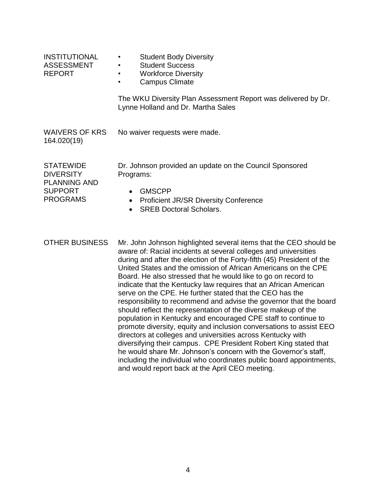| <b>INSTITUTIONAL</b><br><b>ASSESSMENT</b><br><b>REPORT</b>                                       | <b>Student Body Diversity</b><br>$\bullet$<br><b>Student Success</b><br>٠<br><b>Workforce Diversity</b><br><b>Campus Climate</b><br>$\bullet$                                                                                                                                                                                                                                                                                                                                                                                                                                                                                                                                                                                                                                                                                                                                                                                                                                                                                                                                                      |
|--------------------------------------------------------------------------------------------------|----------------------------------------------------------------------------------------------------------------------------------------------------------------------------------------------------------------------------------------------------------------------------------------------------------------------------------------------------------------------------------------------------------------------------------------------------------------------------------------------------------------------------------------------------------------------------------------------------------------------------------------------------------------------------------------------------------------------------------------------------------------------------------------------------------------------------------------------------------------------------------------------------------------------------------------------------------------------------------------------------------------------------------------------------------------------------------------------------|
|                                                                                                  | The WKU Diversity Plan Assessment Report was delivered by Dr.<br>Lynne Holland and Dr. Martha Sales                                                                                                                                                                                                                                                                                                                                                                                                                                                                                                                                                                                                                                                                                                                                                                                                                                                                                                                                                                                                |
| <b>WAIVERS OF KRS</b><br>164.020(19)                                                             | No waiver requests were made.                                                                                                                                                                                                                                                                                                                                                                                                                                                                                                                                                                                                                                                                                                                                                                                                                                                                                                                                                                                                                                                                      |
| <b>STATEWIDE</b><br><b>DIVERSITY</b><br><b>PLANNING AND</b><br><b>SUPPORT</b><br><b>PROGRAMS</b> | Dr. Johnson provided an update on the Council Sponsored<br>Programs:<br><b>GMSCPP</b><br>$\bullet$<br><b>Proficient JR/SR Diversity Conference</b><br>$\bullet$<br><b>SREB Doctoral Scholars.</b><br>$\bullet$                                                                                                                                                                                                                                                                                                                                                                                                                                                                                                                                                                                                                                                                                                                                                                                                                                                                                     |
| <b>OTHER BUSINESS</b>                                                                            | Mr. John Johnson highlighted several items that the CEO should be<br>aware of: Racial incidents at several colleges and universities<br>during and after the election of the Forty-fifth (45) President of the<br>United States and the omission of African Americans on the CPE<br>Board. He also stressed that he would like to go on record to<br>indicate that the Kentucky law requires that an African American<br>serve on the CPE. He further stated that the CEO has the<br>responsibility to recommend and advise the governor that the board<br>should reflect the representation of the diverse makeup of the<br>population in Kentucky and encouraged CPE staff to continue to<br>promote diversity, equity and inclusion conversations to assist EEO<br>directors at colleges and universities across Kentucky with<br>diversifying their campus. CPE President Robert King stated that<br>he would share Mr. Johnson's concern with the Governor's staff,<br>including the individual who coordinates public board appointments,<br>and would report back at the April CEO meeting. |